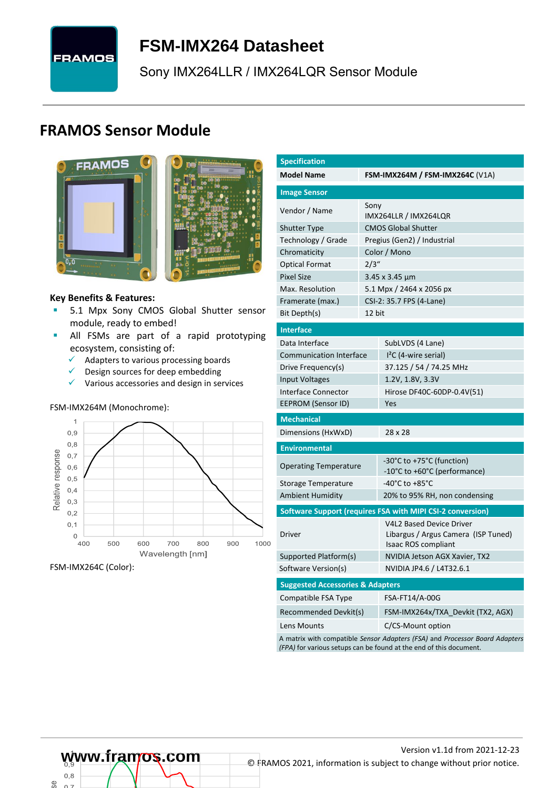# **FRAMOS**

# <span id="page-0-7"></span>**FSM-IMX264 [Datasheet](#page-0-0)**

[Sony](#page-0-1) [IMX264LLR / IMX264LQR](#page-0-2) Sensor Module

## **FRAMOS Sensor Module**



<span id="page-0-3"></span><span id="page-0-0"></span>

#### **Key Benefits & Features:**

- **[5.1](#page-0-4) Mpx [Sony](#page-0-1) [CMOS Global Shutter](#page-0-5) sensor** module, ready to embed!
- **E** All FSMs are part of a rapid prototyping ecosystem, consisting of:
	- $\checkmark$  Adapters to various processing boards<br> $\checkmark$  Design sources for deen embedding
	- Design sources for deep embedding
	- ✓ Various accessories and design in services

#### FSM-IMX264M (Monochrome):



FSM-IMX264C (Color):

<span id="page-0-6"></span><span id="page-0-5"></span><span id="page-0-4"></span><span id="page-0-2"></span><span id="page-0-1"></span>

| <b>Specification</b>                        |        |                                                                                        |  |  |  |  |
|---------------------------------------------|--------|----------------------------------------------------------------------------------------|--|--|--|--|
| <b>Model Name</b>                           |        | <b>FSM-IMX264M / FSM-IMX264C (V1A)</b>                                                 |  |  |  |  |
| <b>Image Sensor</b>                         |        |                                                                                        |  |  |  |  |
| Vendor / Name                               | Sony   | IMX264LLR / IMX264LQR                                                                  |  |  |  |  |
| Shutter Type                                |        | <b>CMOS Global Shutter</b>                                                             |  |  |  |  |
| Technology / Grade                          |        | Pregius (Gen2) / Industrial                                                            |  |  |  |  |
| Chromaticity                                |        | Color / Mono                                                                           |  |  |  |  |
| <b>Optical Format</b>                       | 2/3''  |                                                                                        |  |  |  |  |
| <b>Pixel Size</b>                           |        | 3.45 x 3.45 µm                                                                         |  |  |  |  |
| Max. Resolution                             |        | 5.1 Mpx / 2464 x 2056 px                                                               |  |  |  |  |
| Framerate (max.)                            |        | CSI-2: 35.7 FPS (4-Lane)                                                               |  |  |  |  |
| Bit Depth(s)                                | 12 bit |                                                                                        |  |  |  |  |
|                                             |        |                                                                                        |  |  |  |  |
| <b>Interface</b>                            |        |                                                                                        |  |  |  |  |
| Data Interface                              |        | SubLVDS (4 Lane)                                                                       |  |  |  |  |
| <b>Communication Interface</b>              |        | $I2C$ (4-wire serial)                                                                  |  |  |  |  |
| Drive Frequency(s)                          |        | 37.125 / 54 / 74.25 MHz                                                                |  |  |  |  |
| Input Voltages                              |        | 1.2V, 1.8V, 3.3V                                                                       |  |  |  |  |
| Interface Connector                         |        | Hirose DF40C-60DP-0.4V(51)                                                             |  |  |  |  |
| EEPROM (Sensor ID)                          |        | Yes                                                                                    |  |  |  |  |
| <b>Mechanical</b>                           |        |                                                                                        |  |  |  |  |
| Dimensions (HxWxD)                          |        | 28 x 28                                                                                |  |  |  |  |
| <b>Environmental</b>                        |        |                                                                                        |  |  |  |  |
| <b>Operating Temperature</b>                |        | -30°C to +75°C (function)                                                              |  |  |  |  |
|                                             |        | -10°C to +60°C (performance)                                                           |  |  |  |  |
| Storage Temperature                         |        | -40°C to +85°C                                                                         |  |  |  |  |
| Ambient Humidity                            |        | 20% to 95% RH, non condensing                                                          |  |  |  |  |
|                                             |        | Software Support (requires FSA with MIPI CSI-2 conversion)                             |  |  |  |  |
| Driver                                      |        | V4L2 Based Device Driver<br>Libargus / Argus Camera (ISP Tuned)<br>Isaac ROS compliant |  |  |  |  |
| Supported Platform(s)                       |        | NVIDIA Jetson AGX Xavier, TX2                                                          |  |  |  |  |
| Software Version(s)                         |        | NVIDIA JP4.6 / L4T32.6.1                                                               |  |  |  |  |
| <b>Suggested Accessories &amp; Adapters</b> |        |                                                                                        |  |  |  |  |
| Compatible FSA Type                         |        | FSA-FT14/A-00G                                                                         |  |  |  |  |
| Recommended Devkit(s)                       |        | FSM-IMX264x/TXA Devkit (TX2, AGX)                                                      |  |  |  |  |
| Lens Mounts                                 |        | C/CS-Mount option                                                                      |  |  |  |  |

A matrix with compatible *Sensor Adapters (FSA)* and *Processor Board Adapters (FPA)* for various setups can be found at the end of this document.

# Version [v1.1d](#page-0-3) from 2021-12-23<br>
© FRAMOS 2021, information is subject to change without prior notice.

യ്ക്

 $0.8$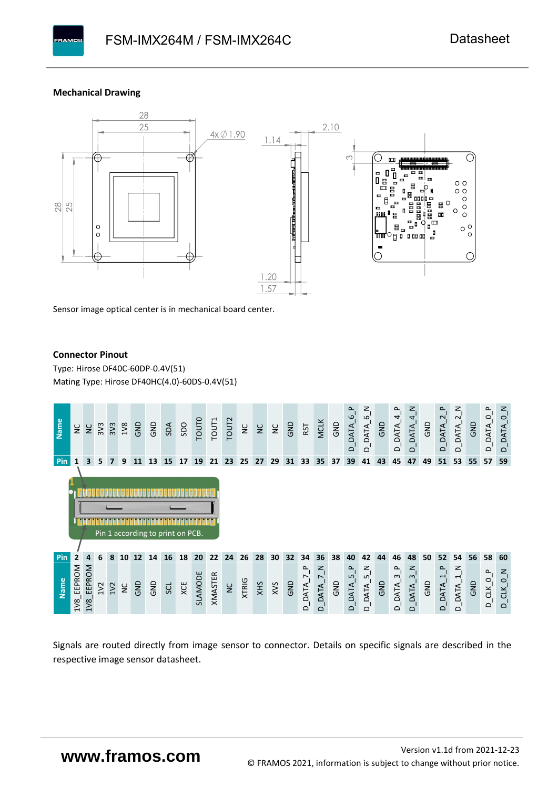#### **Mechanical Drawing**



Sensor image optical center is in mechanical board center.

#### **Connector Pinout**

Type: [Hirose DF40C-60DP-0.4V\(51](#page-0-6)[\)](#page-0-6)  Mating Type: Hirose DF40HC(4.0)-60DS-0.4V(51)



Signals are routed directly from image sensor to connector. Details on specific signals are described in the respective image sensor datasheet.

## **www.framos.com**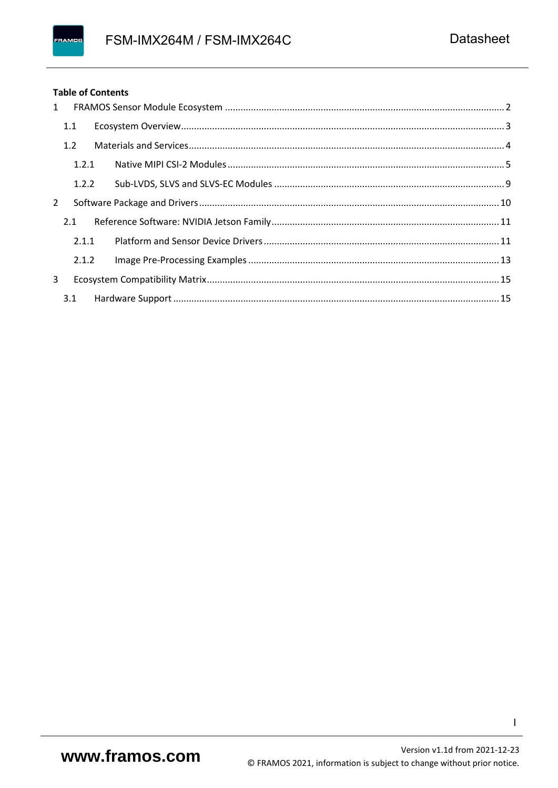#### **Table of Contents**

| 1 |       |  |
|---|-------|--|
|   | 1.1   |  |
|   | 1.2   |  |
|   | 1.2.1 |  |
|   | 1.2.2 |  |
| 2 |       |  |
|   | 2.1   |  |
|   | 2.1.1 |  |
|   | 2.1.2 |  |
| 3 |       |  |
|   |       |  |

 $\mathbf{I}$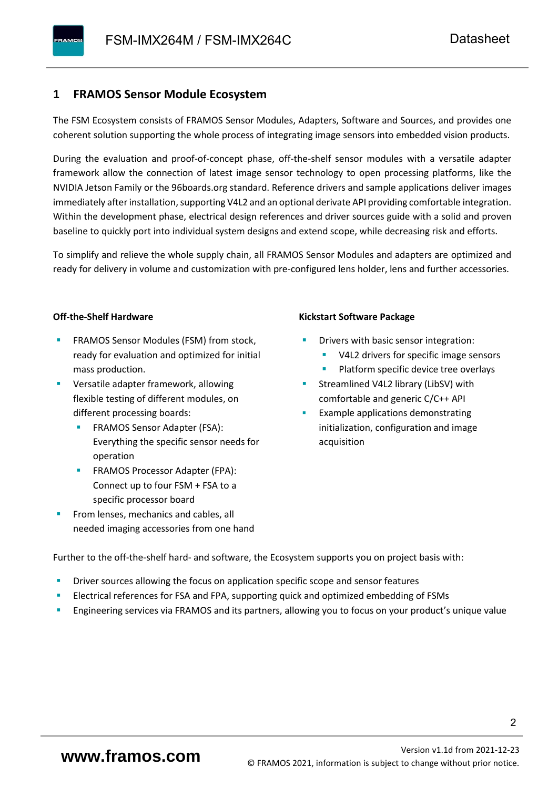#### <span id="page-3-0"></span>**1 FRAMOS Sensor Module Ecosystem**

The FSM Ecosystem consists of FRAMOS Sensor Modules, Adapters, Software and Sources, and provides one coherent solution supporting the whole process of integrating image sensors into embedded vision products.

During the evaluation and proof-of-concept phase, off-the-shelf sensor modules with a versatile adapter framework allow the connection of latest image sensor technology to open processing platforms, like the NVIDIA Jetson Family or the 96boards.org standard. Reference drivers and sample applications deliver images immediately after installation, supporting V4L2 and an optional derivate API providing comfortable integration. Within the development phase, electrical design references and driver sources guide with a solid and proven baseline to quickly port into individual system designs and extend scope, while decreasing risk and efforts.

To simplify and relieve the whole supply chain, all FRAMOS Sensor Modules and adapters are optimized and ready for delivery in volume and customization with pre-configured lens holder, lens and further accessories.

#### **Off-the-Shelf Hardware**

- FRAMOS Sensor Modules (FSM) from stock, ready for evaluation and optimized for initial mass production.
- Versatile adapter framework, allowing flexible testing of different modules, on different processing boards:
	- FRAMOS Sensor Adapter (FSA): Everything the specific sensor needs for operation
	- FRAMOS Processor Adapter (FPA): Connect up to four FSM + FSA to a specific processor board
- From lenses, mechanics and cables, all needed imaging accessories from one hand

#### **Kickstart Software Package**

- Drivers with basic sensor integration:
	- V4L2 drivers for specific image sensors
	- Platform specific device tree overlays
- Streamlined V4L2 library (LibSV) with comfortable and generic C/C++ API
- Example applications demonstrating initialization, configuration and image acquisition

Further to the off-the-shelf hard- and software, the Ecosystem supports you on project basis with:

- Driver sources allowing the focus on application specific scope and sensor features
- Electrical references for FSA and FPA, supporting quick and optimized embedding of FSMs
- Engineering services via FRAMOS and its partners, allowing you to focus on your product's unique value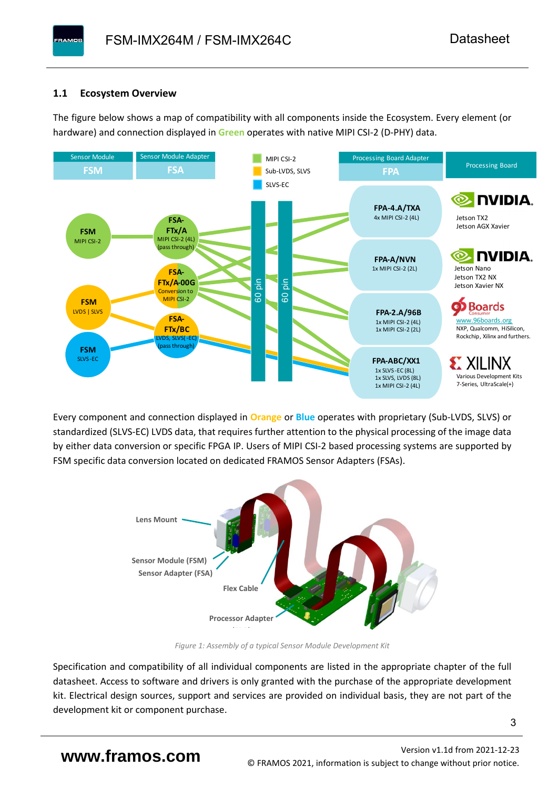#### <span id="page-4-0"></span>**1.1 Ecosystem Overview**

**PAMOS** 

The figure below shows a map of compatibility with all components inside the Ecosystem. Every element (or hardware) and connection displayed in **Green** operates with native MIPI CSI-2 (D-PHY) data.



Every component and connection displayed in **Orange** or **Blue** operates with proprietary (Sub-LVDS, SLVS) or standardized (SLVS-EC) LVDS data, that requires further attention to the physical processing of the image data by either data conversion or specific FPGA IP. Users of MIPI CSI-2 based processing systems are supported by FSM specific data conversion located on dedicated FRAMOS Sensor Adapters (FSAs).



*Figure 1: Assembly of a typical Sensor Module Development Kit*

Specification and compatibility of all individual components are listed in the appropriate chapter of the full datasheet. Access to software and drivers is only granted with the purchase of the appropriate development kit. Electrical design sources, support and services are provided on individual basis, they are not part of the development kit or component purchase.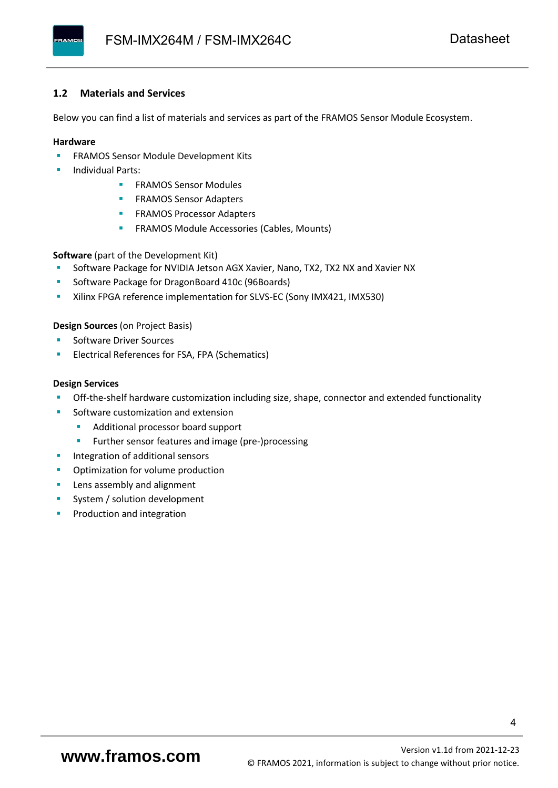#### <span id="page-5-0"></span>**1.2 Materials and Services**

Below you can find a list of materials and services as part of the FRAMOS Sensor Module Ecosystem.

#### **Hardware**

- **EXECTED FRAMOS Sensor Module Development Kits**
- **Individual Parts:** 
	- FRAMOS Sensor Modules
	- **FRAMOS Sensor Adapters**
	- **EXAMOS Processor Adapters**
	- **EXECTED** FRAMOS Module Accessories (Cables, Mounts)

**Software** (part of the Development Kit)

- Software Package for NVIDIA Jetson AGX Xavier, Nano, TX2, TX2 NX and Xavier NX
- Software Package for DragonBoard 410c (96Boards)
- **E** Xilinx FPGA reference implementation for SLVS-EC (Sony IMX421, IMX530)

#### **Design Sources** (on Project Basis)

- Software Driver Sources
- Electrical References for FSA, FPA (Schematics)

#### **Design Services**

- Off-the-shelf hardware customization including size, shape, connector and extended functionality
- Software customization and extension
	- Additional processor board support
	- Further sensor features and image (pre-)processing
- **■** Integration of additional sensors
- **•** Optimization for volume production
- Lens assembly and alignment
- System / solution development
- Production and integration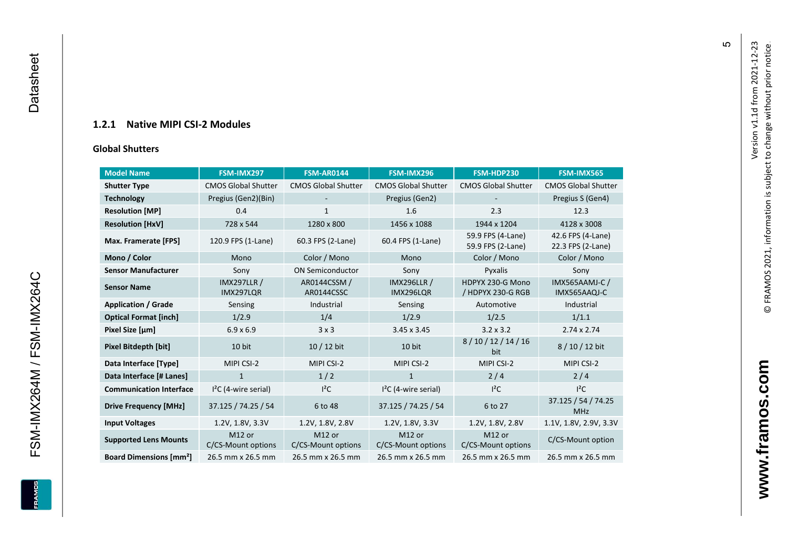#### **1.2.1 Native MIPI CSI - 2 Modules**

#### **[Global Shu](#page-0-7)tters**

<span id="page-6-0"></span>

| <b>Model Name</b>                        | FSM-IMX297                      | <b>FSM-AR0144</b>            | FSM-IMX296                      | FSM-HDP230                             | FSM-IMX565                             |
|------------------------------------------|---------------------------------|------------------------------|---------------------------------|----------------------------------------|----------------------------------------|
| <b>Shutter Type</b>                      | <b>CMOS Global Shutter</b>      | <b>CMOS Global Shutter</b>   | <b>CMOS Global Shutter</b>      | <b>CMOS Global Shutter</b>             | <b>CMOS Global Shutter</b>             |
| <b>Technology</b>                        | Pregius (Gen2)(Bin)             |                              | Pregius (Gen2)                  |                                        | Pregius S (Gen4)                       |
| <b>Resolution [MP]</b>                   | 0.4                             | $\mathbf{1}$                 | 1.6                             | 2.3                                    | 12.3                                   |
| <b>Resolution [HxV]</b>                  | 728 x 544                       | 1280 x 800                   | 1456 x 1088                     | 1944 x 1204                            | 4128 x 3008                            |
| Max. Framerate [FPS]                     | 120.9 FPS (1-Lane)              | 60.3 FPS (2-Lane)            | 60.4 FPS (1-Lane)               | 59.9 FPS (4-Lane)<br>59.9 FPS (2-Lane) | 42.6 FPS (4-Lane)<br>22.3 FPS (2-Lane) |
| Mono / Color                             | Mono                            | Color / Mono                 | Mono                            | Color / Mono                           | Color / Mono                           |
| <b>Sensor Manufacturer</b>               | Sony                            | <b>ON Semiconductor</b>      | Sony                            | Pyxalis                                | Sony                                   |
| <b>Sensor Name</b>                       | <b>IMX297LLR /</b><br>IMX297LQR | AR0144CSSM /<br>AR0144CSSC   | <b>IMX296LLR /</b><br>IMX296LQR | HDPYX 230-G Mono<br>/ HDPYX 230-G RGB  | <b>IMX565AAMJ-C/</b><br>IMX565AAQJ-C   |
| <b>Application / Grade</b>               | Sensing                         | Industrial                   | Sensing                         | Automotive                             | Industrial                             |
| <b>Optical Format [inch]</b>             | 1/2.9                           | 1/4                          | 1/2.9                           | 1/2.5                                  | 1/1.1                                  |
| Pixel Size [µm]                          | $6.9 \times 6.9$                | 3x3                          | $3.45 \times 3.45$              | $3.2 \times 3.2$                       | $2.74 \times 2.74$                     |
| Pixel Bitdepth [bit]                     | 10 bit                          | $10/12$ bit                  | 10 bit                          | 8/10/12/14/16<br>bit                   | 8/10/12 bit                            |
| Data Interface [Type]                    | MIPI CSI-2                      | MIPI CSI-2                   | MIPI CSI-2                      | MIPI CSI-2                             | MIPI CSI-2                             |
| Data Interface [# Lanes]                 | $\mathbf{1}$                    | 1/2                          | $\mathbf{1}$                    | 2/4                                    | 2/4                                    |
| <b>Communication Interface</b>           | $I2C$ (4-wire serial)           | $I^2C$                       | $I2C$ (4-wire serial)           | $l^2C$                                 | $I^2C$                                 |
| <b>Drive Frequency [MHz]</b>             | 37.125 / 74.25 / 54             | 6 to 48                      | 37.125 / 74.25 / 54             | 6 to 27                                | 37.125 / 54 / 74.25<br><b>MHz</b>      |
| <b>Input Voltages</b>                    | 1.2V, 1.8V, 3.3V                | 1.2V, 1.8V, 2.8V             | 1.2V, 1.8V, 3.3V                | 1.2V, 1.8V, 2.8V                       | 1.1V, 1.8V, 2.9V, 3.3V                 |
| <b>Supported Lens Mounts</b>             | M12 or<br>C/CS-Mount options    | M12 or<br>C/CS-Mount options | M12 or<br>C/CS-Mount options    | M12 or<br>C/CS-Mount options           | C/CS-Mount option                      |
| <b>Board Dimensions [mm<sup>2</sup>]</b> | 26.5 mm x 26.5 mm               | 26.5 mm x 26.5 mm            | 26.5 mm x 26.5 mm               | 26.5 mm x 26.5 mm                      | 26.5 mm x 26.5 mm                      |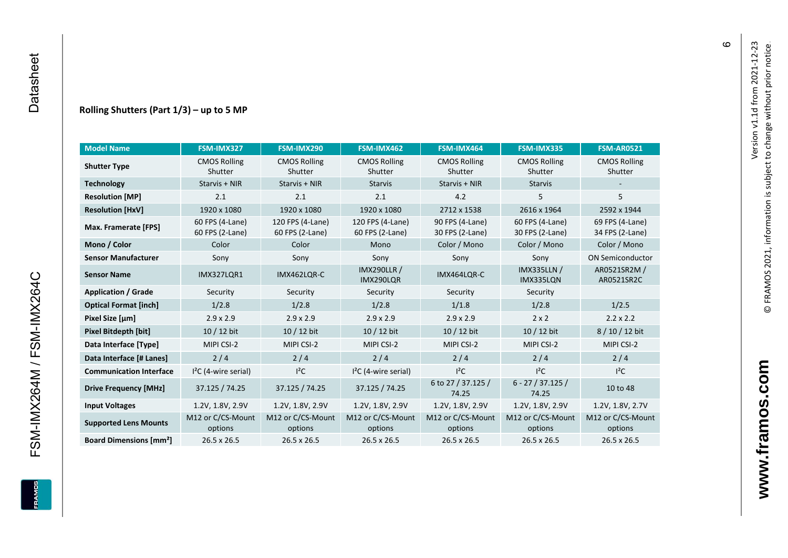#### **Rolling Shutters (Part 1/ 3 ) – up to 5 MP**

| <b>Model Name</b>                        | FSM-IMX327                         | FSM-IMX290                          | FSM-IMX462                           | FSM-IMX464                         | FSM-IMX335                         | <b>FSM-AR0521</b>                  |
|------------------------------------------|------------------------------------|-------------------------------------|--------------------------------------|------------------------------------|------------------------------------|------------------------------------|
| <b>Shutter Type</b>                      | <b>CMOS Rolling</b><br>Shutter     | <b>CMOS Rolling</b><br>Shutter      | <b>CMOS Rolling</b><br>Shutter       | <b>CMOS Rolling</b><br>Shutter     | <b>CMOS Rolling</b><br>Shutter     | <b>CMOS Rolling</b><br>Shutter     |
| <b>Technology</b>                        | Starvis + NIR                      | Starvis + NIR                       | <b>Starvis</b>                       | Starvis + NIR                      | <b>Starvis</b>                     |                                    |
| <b>Resolution [MP]</b>                   | 2.1                                | 2.1                                 | 2.1                                  | 4.2                                | 5                                  | 5                                  |
| <b>Resolution [HxV]</b>                  | 1920 x 1080                        | 1920 x 1080                         | 1920 x 1080                          | 2712 x 1538                        | 2616 x 1964                        | 2592 x 1944                        |
| Max. Framerate [FPS]                     | 60 FPS (4-Lane)<br>60 FPS (2-Lane) | 120 FPS (4-Lane)<br>60 FPS (2-Lane) | 120 FPS (4-Lane)<br>60 FPS (2-Lane)  | 90 FPS (4-Lane)<br>30 FPS (2-Lane) | 60 FPS (4-Lane)<br>30 FPS (2-Lane) | 69 FPS (4-Lane)<br>34 FPS (2-Lane) |
| Mono / Color                             | Color                              | Color                               | Mono                                 | Color / Mono                       | Color / Mono                       | Color / Mono                       |
| <b>Sensor Manufacturer</b>               | Sony                               | Sony                                | Sony                                 | Sony                               | Sony                               | <b>ON Semiconductor</b>            |
| <b>Sensor Name</b>                       | <b>IMX327LOR1</b>                  | IMX462LQR-C                         | <b>IMX290LLR /</b><br>IMX290LQR      | IMX464LQR-C                        | <b>IMX335LLN /</b><br>IMX335LQN    | AR0521SR2M /<br>AR0521SR2C         |
| <b>Application / Grade</b>               | Security                           | Security                            | Security<br>Security                 |                                    | Security                           |                                    |
| <b>Optical Format [inch]</b>             | 1/2.8                              | 1/2.8                               | 1/2.8<br>1/1.8                       |                                    | 1/2.8                              | 1/2.5                              |
| Pixel Size [µm]                          | $2.9 \times 2.9$                   | $2.9 \times 2.9$                    | $2.9 \times 2.9$<br>$2.9 \times 2.9$ |                                    | $2 \times 2$                       | $2.2 \times 2.2$                   |
| <b>Pixel Bitdepth [bit]</b>              | 10 / 12 bit                        | 10 / 12 bit                         | 10 / 12 bit                          | 10 / 12 bit                        | 10 / 12 bit                        | 8/10/12 bit                        |
| Data Interface [Type]                    | MIPI CSI-2                         | MIPI CSI-2                          | MIPI CSI-2                           | MIPI CSI-2                         | MIPI CSI-2                         | MIPI CSI-2                         |
| Data Interface [# Lanes]                 | 2/4                                | 2/4                                 | 2/4                                  | 2/4                                | 2/4                                | 2/4                                |
| <b>Communication Interface</b>           | $I2C$ (4-wire serial)              | $l^2C$                              | $12C$ (4-wire serial)                | $I^2C$                             | $I^2C$                             | $l^2C$                             |
| <b>Drive Frequency [MHz]</b>             | 37.125 / 74.25                     | 37.125 / 74.25                      | 37.125 / 74.25                       | 6 to 27 / 37.125 /<br>74.25        | $6 - 27 / 37.125 /$<br>74.25       | 10 to 48                           |
| <b>Input Voltages</b>                    | 1.2V, 1.8V, 2.9V                   | 1.2V, 1.8V, 2.9V                    | 1.2V, 1.8V, 2.9V                     | 1.2V, 1.8V, 2.9V                   | 1.2V, 1.8V, 2.9V                   | 1.2V, 1.8V, 2.7V                   |
| <b>Supported Lens Mounts</b>             | M12 or C/CS-Mount<br>options       | M12 or C/CS-Mount<br>options        | M12 or C/CS-Mount<br>options         | M12 or C/CS-Mount<br>options       | M12 or C/CS-Mount<br>options       | M12 or C/CS-Mount<br>options       |
| <b>Board Dimensions [mm<sup>2</sup>]</b> | $26.5 \times 26.5$                 | 26.5 x 26.5                         | 26.5 x 26.5                          | $26.5 \times 26.5$                 | 26.5 x 26.5                        | 26.5 x 26.5                        |

FSM-IMX264M / FSM-IMX264C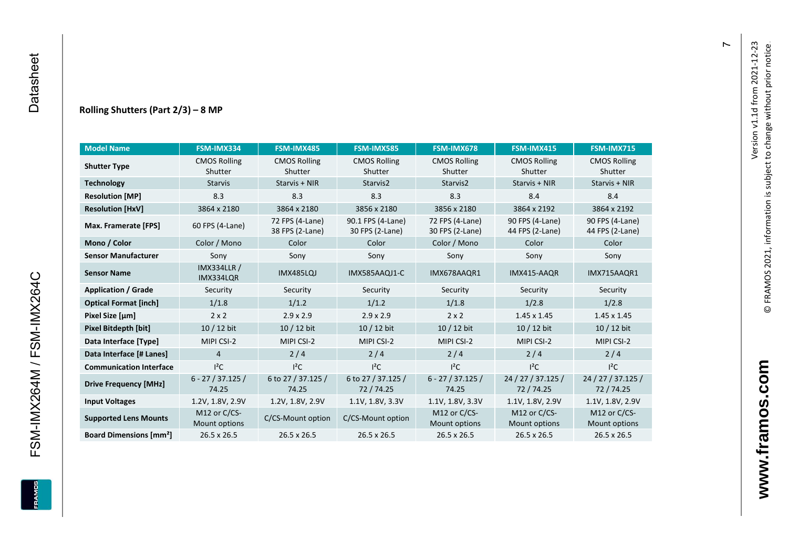#### **Rolling Shutters (Part 2/ 3 ) – 8 MP**

| <b>Model Name</b>                                     | FSM-IMX334                    | FSM-IMX485                         | <b>FSM-IMX585</b>                    | FSM-IMX678                         | <b>FSM-IMX415</b>                  | <b>FSM-IMX715</b>                  |
|-------------------------------------------------------|-------------------------------|------------------------------------|--------------------------------------|------------------------------------|------------------------------------|------------------------------------|
| <b>CMOS Rolling</b><br><b>Shutter Type</b><br>Shutter |                               | <b>CMOS Rolling</b><br>Shutter     | <b>CMOS Rolling</b><br>Shutter       | <b>CMOS Rolling</b><br>Shutter     | <b>CMOS Rolling</b><br>Shutter     | <b>CMOS Rolling</b><br>Shutter     |
| <b>Technology</b>                                     | <b>Starvis</b>                | Starvis + NIR                      | Starvis2                             | Starvis2                           | Starvis + NIR                      | Starvis + NIR                      |
| <b>Resolution [MP]</b>                                | 8.3                           | 8.3                                | 8.3                                  | 8.3                                | 8.4                                | 8.4                                |
| <b>Resolution [HxV]</b>                               | 3864 x 2180                   | 3864 x 2180                        | 3856 x 2180                          | 3856 x 2180                        | 3864 x 2192                        | 3864 x 2192                        |
| Max. Framerate [FPS]                                  | 60 FPS (4-Lane)               | 72 FPS (4-Lane)<br>38 FPS (2-Lane) | 90.1 FPS (4-Lane)<br>30 FPS (2-Lane) | 72 FPS (4-Lane)<br>30 FPS (2-Lane) | 90 FPS (4-Lane)<br>44 FPS (2-Lane) | 90 FPS (4-Lane)<br>44 FPS (2-Lane) |
| Mono / Color                                          | Color / Mono                  | Color                              | Color                                | Color / Mono                       | Color                              | Color                              |
| <b>Sensor Manufacturer</b>                            | Sony                          | Sony                               | Sony                                 | Sony                               | Sony                               | Sony                               |
| <b>IMX334LLR /</b><br><b>Sensor Name</b><br>IMX334LQR |                               | IMX485LQJ                          | IMX585AAQJ1-C                        | IMX678AAQR1                        | IMX415-AAQR                        | IMX715AAQR1                        |
| <b>Application / Grade</b>                            | Security                      | Security                           | Security                             | Security                           | Security                           | Security                           |
| <b>Optical Format [inch]</b>                          | 1/1.8                         | 1/1.2                              | 1/1.2<br>1/1.8                       |                                    | 1/2.8                              | 1/2.8                              |
| Pixel Size [µm]                                       | $2 \times 2$                  | $2.9 \times 2.9$                   | $2.9 \times 2.9$                     | $2 \times 2$                       | $1.45 \times 1.45$                 | $1.45 \times 1.45$                 |
| <b>Pixel Bitdepth [bit]</b>                           | 10 / 12 bit                   | 10 / 12 bit                        | 10 / 12 bit                          | 10 / 12 bit                        | 10 / 12 bit                        | $10/12$ bit                        |
| Data Interface [Type]                                 | MIPI CSI-2                    | MIPI CSI-2                         | MIPI CSI-2                           | MIPI CSI-2                         | MIPI CSI-2                         | MIPI CSI-2                         |
| Data Interface [# Lanes]                              | $\overline{4}$                | 2/4                                | 2/4                                  | 2/4                                | 2/4                                | 2/4                                |
| <b>Communication Interface</b>                        | $I^2C$                        | $I^2C$                             | $I^2C$                               | $I^2C$                             | $I^2C$                             | $I^2C$                             |
| <b>Drive Frequency [MHz]</b>                          | $6 - 27 / 37.125 /$<br>74.25  | 6 to 27 / 37.125 /<br>74.25        | 6 to 27 / 37.125 /<br>72/74.25       | $6 - 27 / 37.125 /$<br>74.25       | 24 / 27 / 37.125 /<br>72 / 74.25   | 24 / 27 / 37.125 /<br>72/74.25     |
| <b>Input Voltages</b>                                 | 1.2V, 1.8V, 2.9V              | 1.2V, 1.8V, 2.9V                   | 1.1V, 1.8V, 3.3V                     | 1.1V, 1.8V, 3.3V                   | 1.1V, 1.8V, 2.9V                   | 1.1V, 1.8V, 2.9V                   |
| <b>Supported Lens Mounts</b>                          | M12 or C/CS-<br>Mount options | C/CS-Mount option                  | C/CS-Mount option                    | M12 or C/CS-<br>Mount options      | M12 or C/CS-<br>Mount options      | M12 or C/CS-<br>Mount options      |
| <b>Board Dimensions [mm<sup>2</sup>]</b>              | $26.5 \times 26.5$            | $26.5 \times 26.5$                 | 26.5 x 26.5                          | $26.5 \times 26.5$                 | 26.5 x 26.5                        | $26.5 \times 26.5$                 |

 $\overline{r}$ 

FSM-IMX264M / FSM-IMX264C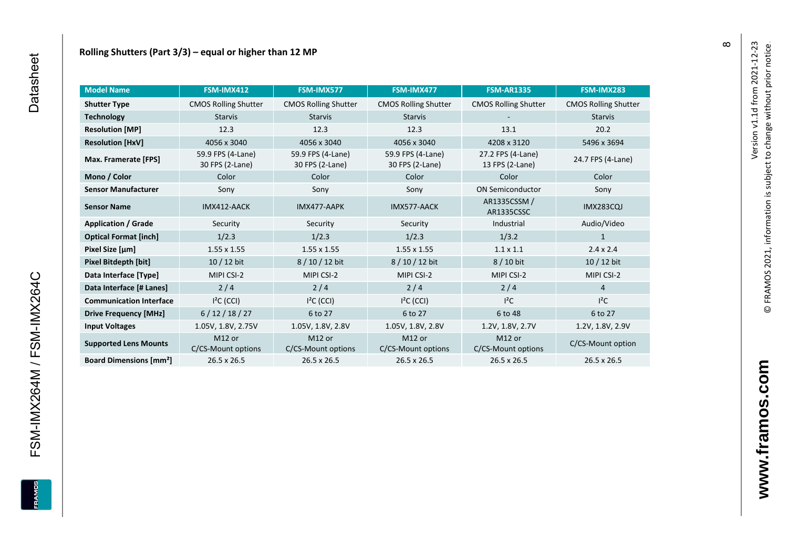| <b>Model Name</b>                        | FSM-IMX412                           | FSM-IMX577                               | FSM-IMX477                               | <b>FSM-AR1335</b>            | FSM-IMX283                  |
|------------------------------------------|--------------------------------------|------------------------------------------|------------------------------------------|------------------------------|-----------------------------|
| <b>Shutter Type</b>                      | <b>CMOS Rolling Shutter</b>          | <b>CMOS Rolling Shutter</b>              | <b>CMOS Rolling Shutter</b>              | <b>CMOS Rolling Shutter</b>  | <b>CMOS Rolling Shutter</b> |
| <b>Technology</b>                        | <b>Starvis</b>                       | <b>Starvis</b>                           | <b>Starvis</b>                           |                              | <b>Starvis</b>              |
| <b>Resolution [MP]</b>                   | 12.3                                 | 12.3                                     | 12.3                                     | 13.1                         | 20.2                        |
| <b>Resolution [HxV]</b>                  | 4056 x 3040                          | 4056 x 3040                              | 4056 x 3040                              | 4208 x 3120                  | 5496 x 3694                 |
| Max. Framerate [FPS]                     | 59.9 FPS (4-Lane)<br>30 FPS (2-Lane) | 59.9 FPS (4-Lane)<br>30 FPS (2-Lane)     | 59.9 FPS (4-Lane)<br>30 FPS (2-Lane)     |                              | 24.7 FPS (4-Lane)           |
| Mono / Color                             | Color                                | Color                                    | Color                                    | Color                        | Color                       |
| <b>Sensor Manufacturer</b>               | Sony                                 | Sony                                     | Sony                                     | <b>ON Semiconductor</b>      | Sony                        |
| <b>Sensor Name</b>                       | IMX412-AACK                          | IMX477-AAPK                              | IMX577-AACK                              | AR1335CSSM /<br>AR1335CSSC   | <b>IMX283CQJ</b>            |
| <b>Application / Grade</b>               | Security                             | Security                                 | Security                                 | Industrial                   | Audio/Video                 |
| <b>Optical Format [inch]</b>             | 1/2.3                                | 1/2.3                                    | 1/2.3                                    | 1/3.2                        | 1                           |
| Pixel Size [µm]                          | $1.55 \times 1.55$                   | $1.55 \times 1.55$                       | $1.55 \times 1.55$                       | $1.1 \times 1.1$             | $2.4 \times 2.4$            |
| Pixel Bitdepth [bit]                     | $10/12$ bit                          | 8/10/12 bit                              | 8/10/12 bit                              | 8 / 10 bit                   | $10/12$ bit                 |
| Data Interface [Type]                    | MIPI CSI-2                           | MIPI CSI-2                               | MIPI CSI-2                               | MIPI CSI-2                   | MIPI CSI-2                  |
| Data Interface [# Lanes]                 | 2/4                                  | 2/4                                      | 2/4                                      | 2/4                          | $\overline{4}$              |
| <b>Communication Interface</b>           | $I2C$ (CCI)                          | $I2C$ (CCI)                              | $I2C$ (CCI)                              | $l^2C$                       | $I^2C$                      |
| <b>Drive Frequency [MHz]</b>             | 6/12/18/27                           | 6 to 27                                  | 6 to 27                                  | 6 to 48                      | 6 to 27                     |
| <b>Input Voltages</b>                    | 1.05V, 1.8V, 2.75V                   | 1.05V, 1.8V, 2.8V                        | 1.05V, 1.8V, 2.8V                        | 1.2V, 1.8V, 2.7V             | 1.2V, 1.8V, 2.9V            |
| <b>Supported Lens Mounts</b>             | M12 or<br>C/CS-Mount options         | M <sub>12</sub> or<br>C/CS-Mount options | M <sub>12</sub> or<br>C/CS-Mount options | M12 or<br>C/CS-Mount options | C/CS-Mount option           |
| <b>Board Dimensions [mm<sup>2</sup>]</b> | $26.5 \times 26.5$                   | $26.5 \times 26.5$                       | $26.5 \times 26.5$                       | 26.5 x 26.5                  | 26.5 x 26.5                 |

 $\infty$ 

FSM-IMX264M / FSM-IMX264C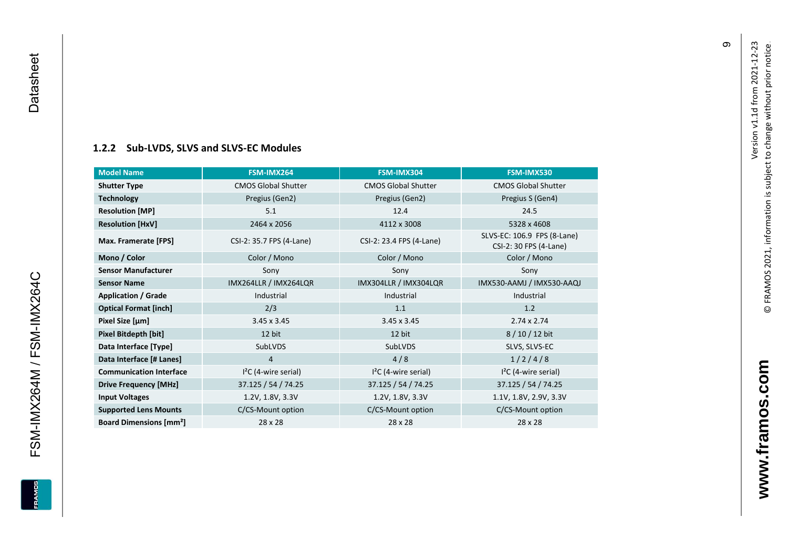Datasheet

<span id="page-10-0"></span>FSM-IMX264M / FSM-IMX264C

**ERAMOS** 

#### **[1.2.2](#page-0-7) Sub -LVDS, SLVS and SLVS -EC Modules**

| <b>Model Name</b>                        | FSM-IMX264                 | FSM-IMX304                 | FSM-IMX530                                            |
|------------------------------------------|----------------------------|----------------------------|-------------------------------------------------------|
| <b>Shutter Type</b>                      | <b>CMOS Global Shutter</b> | <b>CMOS Global Shutter</b> | <b>CMOS Global Shutter</b>                            |
| <b>Technology</b>                        | Pregius (Gen2)             | Pregius (Gen2)             | Pregius S (Gen4)                                      |
| <b>Resolution [MP]</b>                   | 5.1                        | 12.4                       | 24.5                                                  |
| <b>Resolution [HxV]</b>                  | 2464 x 2056                | 4112 x 3008                | 5328 x 4608                                           |
| Max. Framerate [FPS]                     | CSI-2: 35.7 FPS (4-Lane)   | CSI-2: 23.4 FPS (4-Lane)   | SLVS-EC: 106.9 FPS (8-Lane)<br>CSI-2: 30 FPS (4-Lane) |
| Mono / Color                             | Color / Mono               | Color / Mono               | Color / Mono                                          |
| <b>Sensor Manufacturer</b>               | Sony                       | Sony                       | Sony                                                  |
| <b>Sensor Name</b>                       | IMX264LLR / IMX264LQR      | IMX304LLR / IMX304LQR      | IMX530-AAMJ / IMX530-AAQJ                             |
| <b>Application / Grade</b>               | Industrial                 | Industrial                 | Industrial                                            |
| <b>Optical Format [inch]</b>             | 2/3                        | 1.1                        | 1.2                                                   |
| Pixel Size [µm]                          | $3.45 \times 3.45$         | $3.45 \times 3.45$         | $2.74 \times 2.74$                                    |
| Pixel Bitdepth [bit]                     | 12 bit                     | 12 bit                     | $8/10/12$ bit                                         |
| Data Interface [Type]                    | SubLVDS                    | SubLVDS                    | SLVS, SLVS-EC                                         |
| Data Interface [# Lanes]                 | 4                          | 4/8                        | 1/2/4/8                                               |
| <b>Communication Interface</b>           | $I2C$ (4-wire serial)      | $I2C$ (4-wire serial)      | $I2C$ (4-wire serial)                                 |
| <b>Drive Frequency [MHz]</b>             | 37.125 / 54 / 74.25        | 37.125 / 54 / 74.25        | 37.125 / 54 / 74.25                                   |
| <b>Input Voltages</b>                    | 1.2V, 1.8V, 3.3V           | 1.2V, 1.8V, 3.3V           | 1.1V, 1.8V, 2.9V, 3.3V                                |
| <b>Supported Lens Mounts</b>             | C/CS-Mount option          | C/CS-Mount option          | C/CS-Mount option                                     |
| <b>Board Dimensions [mm<sup>2</sup>]</b> | 28 x 28                    | 28 x 28                    | 28 x 28                                               |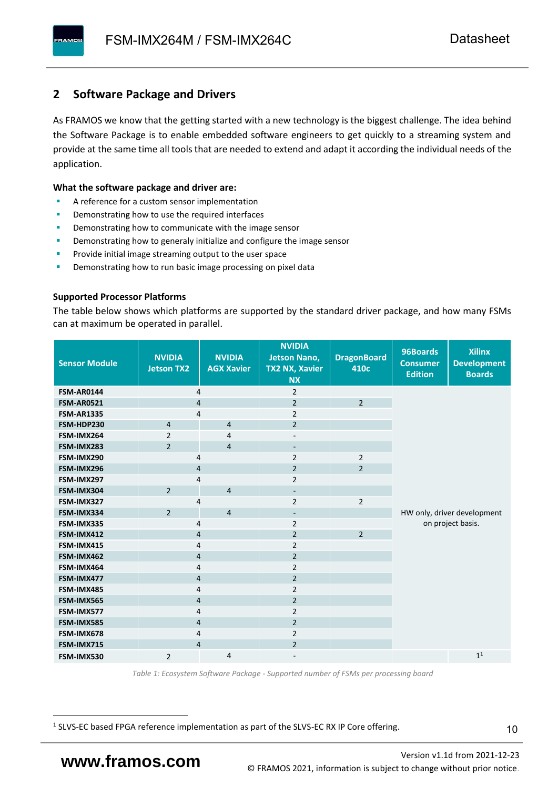### <span id="page-11-0"></span>**2 Software Package and Drivers**

As FRAMOS we know that the getting started with a new technology is the biggest challenge. The idea behind the Software Package is to enable embedded software engineers to get quickly to a streaming system and provide at the same time all tools that are needed to extend and adapt it according the individual needs of the application.

#### **What the software package and driver are:**

- A reference for a custom sensor implementation
- Demonstrating how to use the required interfaces
- Demonstrating how to communicate with the image sensor
- Demonstrating how to generaly initialize and configure the image sensor
- Provide initial image streaming output to the user space
- Demonstrating how to run basic image processing on pixel data

#### **Supported Processor Platforms**

The table below shows which platforms are supported by the standard driver package, and how many FSMs can at maximum be operated in parallel.

| <b>Sensor Module</b> | <b>NVIDIA</b><br><b>Jetson TX2</b> | <b>NVIDIA</b><br><b>AGX Xavier</b> | <b>NVIDIA</b><br><b>Jetson Nano,</b><br><b>TX2 NX, Xavier</b><br><b>NX</b> | <b>DragonBoard</b><br>410c | 96Boards<br><b>Consumer</b><br><b>Edition</b> | <b>Xilinx</b><br><b>Development</b><br><b>Boards</b> |
|----------------------|------------------------------------|------------------------------------|----------------------------------------------------------------------------|----------------------------|-----------------------------------------------|------------------------------------------------------|
| <b>FSM-AR0144</b>    | $\overline{4}$                     |                                    | $\overline{2}$                                                             |                            |                                               |                                                      |
| <b>FSM-AR0521</b>    | $\overline{4}$                     |                                    | $\overline{2}$                                                             | $\overline{2}$             |                                               |                                                      |
| <b>FSM-AR1335</b>    | 4                                  |                                    | $\overline{2}$                                                             |                            |                                               |                                                      |
| FSM-HDP230           | $\overline{4}$                     | $\overline{4}$                     | $\overline{2}$                                                             |                            |                                               |                                                      |
| FSM-IMX264           | $\overline{2}$                     | 4                                  | $\overline{\phantom{a}}$                                                   |                            |                                               |                                                      |
| FSM-IMX283           | $\overline{2}$                     | $\overline{4}$                     | $\overline{\phantom{a}}$                                                   |                            |                                               |                                                      |
| FSM-IMX290           | 4                                  |                                    | $\overline{2}$                                                             | $\overline{2}$             |                                               |                                                      |
| FSM-IMX296           | 4                                  |                                    | $\overline{2}$                                                             | $\overline{2}$             |                                               |                                                      |
| FSM-IMX297           | 4                                  |                                    | $\overline{2}$                                                             |                            |                                               |                                                      |
| FSM-IMX304           | $\overline{2}$                     | $\overline{4}$                     | $\overline{\phantom{a}}$                                                   |                            |                                               |                                                      |
| FSM-IMX327           | 4                                  |                                    | $\overline{2}$                                                             | $\overline{2}$             |                                               |                                                      |
| FSM-IMX334           | $\overline{2}$                     | $\overline{4}$                     | $\overline{\phantom{a}}$                                                   |                            |                                               | HW only, driver development                          |
| FSM-IMX335           | 4                                  |                                    | $\overline{2}$                                                             |                            | on project basis.                             |                                                      |
| FSM-IMX412           | $\overline{4}$                     |                                    | $\overline{2}$                                                             | $\overline{2}$             |                                               |                                                      |
| FSM-IMX415           | 4                                  |                                    | $\overline{2}$                                                             |                            |                                               |                                                      |
| FSM-IMX462           | $\overline{4}$                     |                                    | $\overline{2}$                                                             |                            |                                               |                                                      |
| FSM-IMX464           | $\overline{4}$                     |                                    | $\overline{2}$                                                             |                            |                                               |                                                      |
| FSM-IMX477           | $\overline{4}$                     |                                    | $\overline{2}$                                                             |                            |                                               |                                                      |
| FSM-IMX485           | $\overline{4}$                     |                                    | $\overline{2}$                                                             |                            |                                               |                                                      |
| FSM-IMX565           | 4                                  |                                    | $\overline{2}$                                                             |                            |                                               |                                                      |
| FSM-IMX577           | $\overline{4}$                     |                                    | $\overline{2}$                                                             |                            |                                               |                                                      |
| FSM-IMX585           | $\overline{4}$                     |                                    | $\overline{2}$                                                             |                            |                                               |                                                      |
| FSM-IMX678           | 4                                  |                                    | $\overline{2}$                                                             |                            |                                               |                                                      |
| FSM-IMX715           | $\overline{4}$                     |                                    | $\overline{2}$                                                             |                            |                                               |                                                      |
| FSM-IMX530           | $\overline{2}$                     | 4                                  |                                                                            |                            |                                               | $\mathbf{1}^1$                                       |

*Table 1: Ecosystem Software Package - Supported number of FSMs per processing board*

<sup>1</sup> SLVS-EC based FPGA reference implementation as part of the SLVS-EC RX IP Core offering.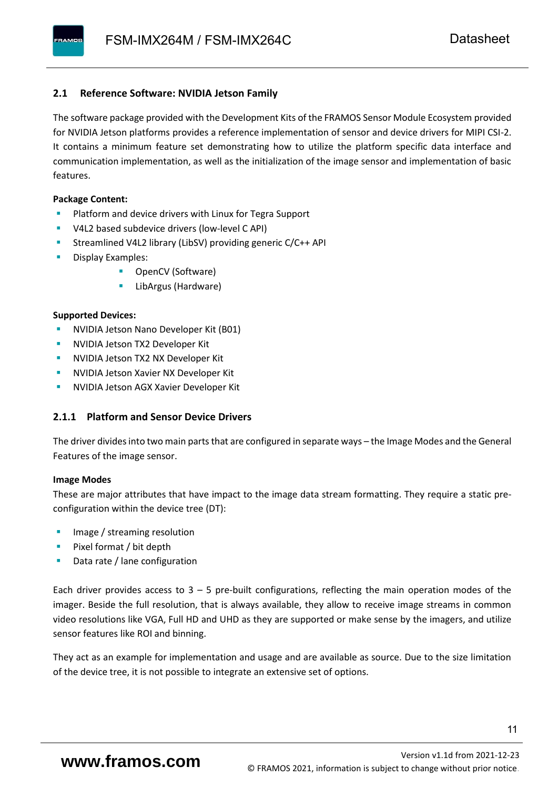#### <span id="page-12-0"></span>**2.1 Reference Software: NVIDIA Jetson Family**

The software package provided with the Development Kits of the FRAMOS Sensor Module Ecosystem provided for NVIDIA Jetson platforms provides a reference implementation of sensor and device drivers for MIPI CSI-2. It contains a minimum feature set demonstrating how to utilize the platform specific data interface and communication implementation, as well as the initialization of the image sensor and implementation of basic features.

#### **Package Content:**

- Platform and device drivers with Linux for Tegra Support
- V4L2 based subdevice drivers (low-level C API)
- Streamlined V4L2 library (LibSV) providing generic C/C++ API
- Display Examples:
	- OpenCV (Software)
	- LibArgus (Hardware)

#### **Supported Devices:**

- NVIDIA Jetson Nano Developer Kit (B01)
- **NVIDIA Jetson TX2 Developer Kit**
- NVIDIA Jetson TX2 NX Developer Kit
- **NVIDIA Jetson Xavier NX Developer Kit**
- **NVIDIA Jetson AGX Xavier Developer Kit**

#### <span id="page-12-1"></span>**2.1.1 Platform and Sensor Device Drivers**

The driver divides into two main parts that are configured in separate ways – the Image Modes and the General Features of the image sensor.

#### **Image Modes**

These are major attributes that have impact to the image data stream formatting. They require a static preconfiguration within the device tree (DT):

- Image / streaming resolution
- Pixel format / bit depth
- Data rate / lane configuration

Each driver provides access to  $3 - 5$  pre-built configurations, reflecting the main operation modes of the imager. Beside the full resolution, that is always available, they allow to receive image streams in common video resolutions like VGA, Full HD and UHD as they are supported or make sense by the imagers, and utilize sensor features like ROI and binning.

They act as an example for implementation and usage and are available as source. Due to the size limitation of the device tree, it is not possible to integrate an extensive set of options.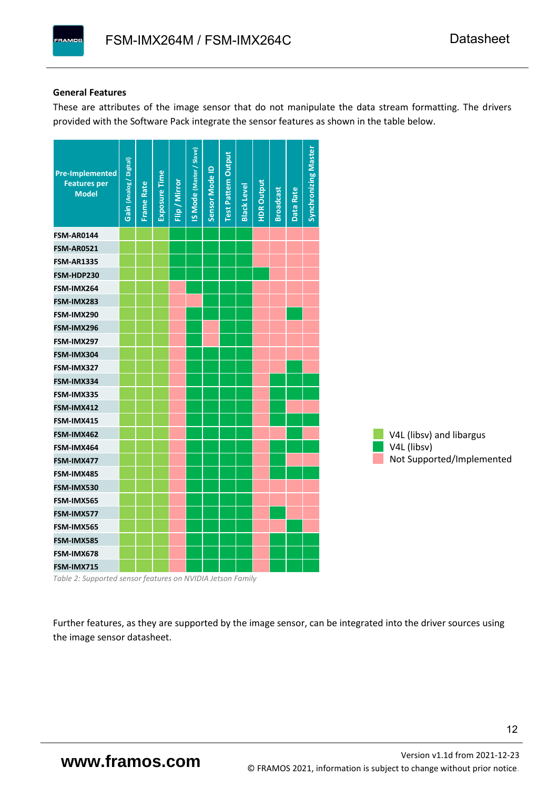#### **General Features**

These are attributes of the image sensor that do not manipulate the data stream formatting. The drivers provided with the Software Pack integrate the sensor features as shown in the table below.

| <b>Pre-Implemented</b><br><b>Features per</b><br><b>Model</b> | Gain (Analog / Digital) | <b>Frame Rate</b> | <b>Exposure Time</b> | Flip / Mirror | <b>IS Mode (Master / Slave)</b> | Sensor Mode ID | <b>Test Pattern Output</b> | <b>Black Level</b> | <b>HDR Output</b> | <b>Broadcast</b> | Data Rate | <b>Synchronizing Master</b> |                           |
|---------------------------------------------------------------|-------------------------|-------------------|----------------------|---------------|---------------------------------|----------------|----------------------------|--------------------|-------------------|------------------|-----------|-----------------------------|---------------------------|
| <b>FSM-AR0144</b>                                             |                         |                   |                      |               |                                 |                |                            |                    |                   |                  |           |                             |                           |
| <b>FSM-AR0521</b>                                             |                         |                   |                      |               |                                 |                |                            |                    |                   |                  |           |                             |                           |
| <b>FSM-AR1335</b>                                             |                         |                   |                      |               |                                 |                |                            |                    |                   |                  |           |                             |                           |
| FSM-HDP230                                                    |                         |                   |                      |               |                                 |                |                            |                    |                   |                  |           |                             |                           |
| FSM-IMX264                                                    |                         |                   |                      |               |                                 |                |                            |                    |                   |                  |           |                             |                           |
| FSM-IMX283                                                    |                         |                   |                      |               |                                 |                |                            |                    |                   |                  |           |                             |                           |
| FSM-IMX290                                                    |                         |                   |                      |               |                                 |                |                            |                    |                   |                  |           |                             |                           |
| FSM-IMX296                                                    |                         |                   |                      |               |                                 |                |                            |                    |                   |                  |           |                             |                           |
| FSM-IMX297                                                    |                         |                   |                      |               |                                 |                |                            |                    |                   |                  |           |                             |                           |
| FSM-IMX304                                                    |                         |                   |                      |               |                                 |                |                            |                    |                   |                  |           |                             |                           |
| FSM-IMX327                                                    |                         |                   |                      |               |                                 |                |                            |                    |                   |                  |           |                             |                           |
| FSM-IMX334                                                    |                         |                   |                      |               |                                 |                |                            |                    |                   |                  |           |                             |                           |
| FSM-IMX335                                                    |                         |                   |                      |               |                                 |                |                            |                    |                   |                  |           |                             |                           |
| FSM-IMX412                                                    |                         |                   |                      |               |                                 |                |                            |                    |                   |                  |           |                             |                           |
| FSM-IMX415                                                    |                         |                   |                      |               |                                 |                |                            |                    |                   |                  |           |                             |                           |
| FSM-IMX462                                                    |                         |                   |                      |               |                                 |                |                            |                    |                   |                  |           |                             | V4L (libsv) and libargus  |
| FSM-IMX464                                                    |                         |                   |                      |               |                                 |                |                            |                    |                   |                  |           |                             | V4L (libsv)               |
| FSM-IMX477                                                    |                         |                   |                      |               |                                 |                |                            |                    |                   |                  |           |                             | Not Supported/Implemented |
| FSM-IMX485                                                    |                         |                   |                      |               |                                 |                |                            |                    |                   |                  |           |                             |                           |
| FSM-IMX530                                                    |                         |                   |                      |               |                                 |                |                            |                    |                   |                  |           |                             |                           |
| FSM-IMX565                                                    |                         |                   |                      |               |                                 |                |                            |                    |                   |                  |           |                             |                           |
| FSM-IMX577                                                    |                         |                   |                      |               |                                 |                |                            |                    |                   |                  |           |                             |                           |
| FSM-IMX565                                                    |                         |                   |                      |               |                                 |                |                            |                    |                   |                  |           |                             |                           |
| FSM-IMX585                                                    |                         |                   |                      |               |                                 |                |                            |                    |                   |                  |           |                             |                           |
| FSM-IMX678                                                    |                         |                   |                      |               |                                 |                |                            |                    |                   |                  |           |                             |                           |
| FSM-IMX715                                                    |                         |                   |                      |               |                                 |                |                            |                    |                   |                  |           |                             |                           |

*Table 2: Supported sensor features on NVIDIA Jetson Family*

Further features, as they are supported by the image sensor, can be integrated into the driver sources using the image sensor datasheet.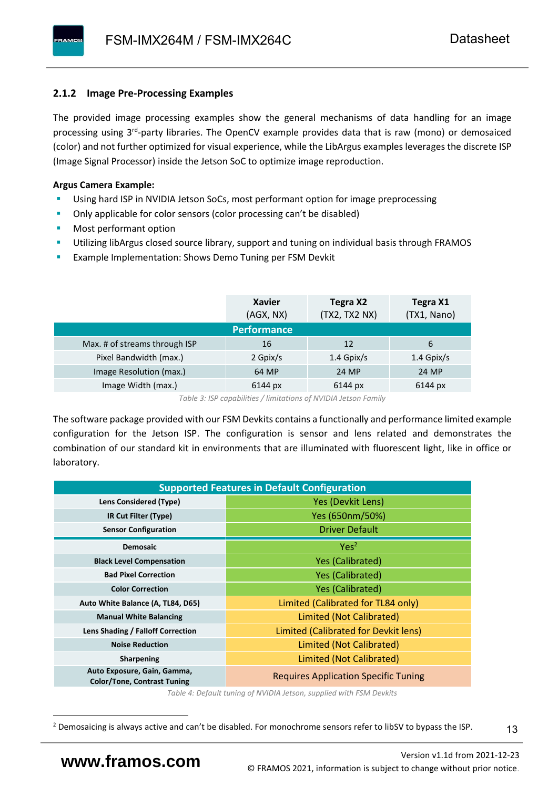#### <span id="page-14-0"></span>**2.1.2 Image Pre-Processing Examples**

The provided image processing examples show the general mechanisms of data handling for an image processing using 3<sup>rd</sup>-party libraries. The OpenCV example provides data that is raw (mono) or demosaiced (color) and not further optimized for visual experience, while the LibArgus examples leverages the discrete ISP (Image Signal Processor) inside the Jetson SoC to optimize image reproduction.

#### **Argus Camera Example:**

- Using hard ISP in NVIDIA Jetson SoCs, most performant option for image preprocessing
- Only applicable for color sensors (color processing can't be disabled)
- Most performant option
- Utilizing libArgus closed source library, support and tuning on individual basis through FRAMOS
- Example Implementation: Shows Demo Tuning per FSM Devkit

|                               | <b>Xavier</b><br>(AGX, NX) | Tegra X2<br>(TX2, TX2 NX) | Tegra X1<br>(TX1, Nano) |
|-------------------------------|----------------------------|---------------------------|-------------------------|
|                               | <b>Performance</b>         |                           |                         |
| Max. # of streams through ISP | 16                         | 12                        | 6                       |
| Pixel Bandwidth (max.)        | 2 Gpix/s                   | $1.4$ Gpix/s              | $1.4$ Gpix/s            |
| Image Resolution (max.)       | 64 MP                      | 24 MP                     | 24 MP                   |
| Image Width (max.)            | 6144 px                    | 6144 px                   | 6144 px                 |

*Table 3: ISP capabilities / limitations of NVIDIA Jetson Family*

The software package provided with our FSM Devkits contains a functionally and performance limited example configuration for the Jetson ISP. The configuration is sensor and lens related and demonstrates the combination of our standard kit in environments that are illuminated with fluorescent light, like in office or laboratory.

|                                                                   | <b>Supported Features in Default Configuration</b> |  |  |  |  |
|-------------------------------------------------------------------|----------------------------------------------------|--|--|--|--|
| Lens Considered (Type)                                            | Yes (Devkit Lens)                                  |  |  |  |  |
| IR Cut Filter (Type)                                              | Yes (650nm/50%)                                    |  |  |  |  |
| <b>Sensor Configuration</b>                                       | <b>Driver Default</b>                              |  |  |  |  |
| <b>Demosaic</b>                                                   | Yes <sup>2</sup>                                   |  |  |  |  |
| <b>Black Level Compensation</b>                                   | <b>Yes (Calibrated)</b>                            |  |  |  |  |
| <b>Bad Pixel Correction</b>                                       | <b>Yes (Calibrated)</b>                            |  |  |  |  |
| <b>Color Correction</b>                                           | <b>Yes (Calibrated)</b>                            |  |  |  |  |
| Auto White Balance (A, TL84, D65)                                 | Limited (Calibrated for TL84 only)                 |  |  |  |  |
| <b>Manual White Balancing</b>                                     | Limited (Not Calibrated)                           |  |  |  |  |
| Lens Shading / Falloff Correction                                 | Limited (Calibrated for Devkit lens)               |  |  |  |  |
| <b>Noise Reduction</b>                                            | Limited (Not Calibrated)                           |  |  |  |  |
| Sharpening                                                        | Limited (Not Calibrated)                           |  |  |  |  |
| Auto Exposure, Gain, Gamma,<br><b>Color/Tone, Contrast Tuning</b> | <b>Requires Application Specific Tuning</b>        |  |  |  |  |

*Table 4: Default tuning of NVIDIA Jetson, supplied with FSM Devkits*

13

<sup>&</sup>lt;sup>2</sup> Demosaicing is always active and can't be disabled. For monochrome sensors refer to libSV to bypass the ISP.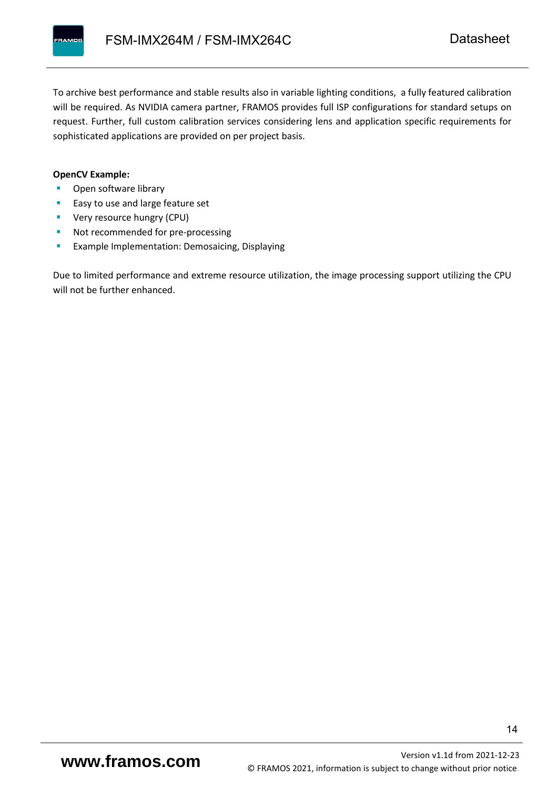To archive best performance and stable results also in variable lighting conditions, a fully featured calibration will be required. As NVIDIA camera partner, FRAMOS provides full ISP configurations for standard setups on request. Further, full custom calibration services considering lens and application specific requirements for sophisticated applications are provided on per project basis.

#### **OpenCV Example:**

- Open software library
- Easy to use and large feature set
- **•** Very resource hungry (CPU)
- Not recommended for pre-processing
- **Example Implementation: Demosaicing, Displaying**

Due to limited performance and extreme resource utilization, the image processing support utilizing the CPU will not be further enhanced.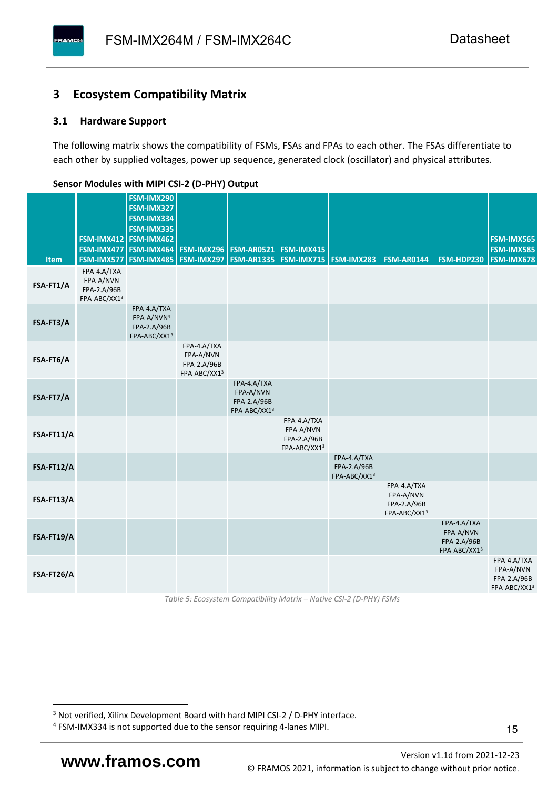### <span id="page-16-0"></span>**3 Ecosystem Compatibility Matrix**

#### <span id="page-16-1"></span>**3.1 Hardware Support**

**PAMOS** 

The following matrix shows the compatibility of FSMs, FSAs and FPAs to each other. The FSAs differentiate to each other by supplied voltages, power up sequence, generated clock (oscillator) and physical attributes.

|            |                                                         | FSM-IMX290<br>FSM-IMX327                                             |                                                         |                                                         |                                                         |                                            |                                                         |                                                         |                                                         |
|------------|---------------------------------------------------------|----------------------------------------------------------------------|---------------------------------------------------------|---------------------------------------------------------|---------------------------------------------------------|--------------------------------------------|---------------------------------------------------------|---------------------------------------------------------|---------------------------------------------------------|
|            |                                                         | FSM-IMX334<br>FSM-IMX335                                             |                                                         |                                                         |                                                         |                                            |                                                         |                                                         |                                                         |
|            |                                                         | FSM-IMX412 FSM-IMX462<br>FSM-IMX477 FSM-IMX464                       |                                                         | <b>FSM-IMX296 FSM-AR0521</b>                            | FSM-IMX415                                              |                                            |                                                         |                                                         | FSM-IMX565<br><b>FSM-IMX585</b>                         |
| Item       | FSM-IMX577                                              | FSM-IMX485                                                           |                                                         | <b>FSM-IMX297   FSM-AR1335  </b>                        | <b>FSM-IMX715 FSM-IMX283</b>                            |                                            | <b>FSM-AR0144</b>                                       | FSM-HDP230                                              | <b>FSM-IMX678</b>                                       |
| FSA-FT1/A  | FPA-4.A/TXA<br>FPA-A/NVN<br>FPA-2.A/96B<br>FPA-ABC/XX13 |                                                                      |                                                         |                                                         |                                                         |                                            |                                                         |                                                         |                                                         |
| FSA-FT3/A  |                                                         | FPA-4.A/TXA<br>FPA-A/NVN <sup>4</sup><br>FPA-2.A/96B<br>FPA-ABC/XX13 |                                                         |                                                         |                                                         |                                            |                                                         |                                                         |                                                         |
| FSA-FT6/A  |                                                         |                                                                      | FPA-4.A/TXA<br>FPA-A/NVN<br>FPA-2.A/96B<br>FPA-ABC/XX13 |                                                         |                                                         |                                            |                                                         |                                                         |                                                         |
| FSA-FT7/A  |                                                         |                                                                      |                                                         | FPA-4.A/TXA<br>FPA-A/NVN<br>FPA-2.A/96B<br>FPA-ABC/XX13 |                                                         |                                            |                                                         |                                                         |                                                         |
| FSA-FT11/A |                                                         |                                                                      |                                                         |                                                         | FPA-4.A/TXA<br>FPA-A/NVN<br>FPA-2.A/96B<br>FPA-ABC/XX13 |                                            |                                                         |                                                         |                                                         |
| FSA-FT12/A |                                                         |                                                                      |                                                         |                                                         |                                                         | FPA-4.A/TXA<br>FPA-2.A/96B<br>FPA-ABC/XX13 |                                                         |                                                         |                                                         |
| FSA-FT13/A |                                                         |                                                                      |                                                         |                                                         |                                                         |                                            | FPA-4.A/TXA<br>FPA-A/NVN<br>FPA-2.A/96B<br>FPA-ABC/XX13 |                                                         |                                                         |
| FSA-FT19/A |                                                         |                                                                      |                                                         |                                                         |                                                         |                                            |                                                         | FPA-4.A/TXA<br>FPA-A/NVN<br>FPA-2.A/96B<br>FPA-ABC/XX13 |                                                         |
| FSA-FT26/A |                                                         |                                                                      |                                                         |                                                         |                                                         |                                            |                                                         |                                                         | FPA-4.A/TXA<br>FPA-A/NVN<br>FPA-2.A/96B<br>FPA-ABC/XX13 |

#### <span id="page-16-2"></span>**Sensor Modules with MIPI CSI-2 (D-PHY) Output**

*Table 5: Ecosystem Compatibility Matrix – Native CSI-2 (D-PHY) FSMs*

<sup>&</sup>lt;sup>3</sup> Not verified, Xilinx Development Board with hard MIPI CSI-2 / D-PHY interface.

<sup>4</sup> FSM-IMX334 is not supported due to the sensor requiring 4-lanes MIPI.